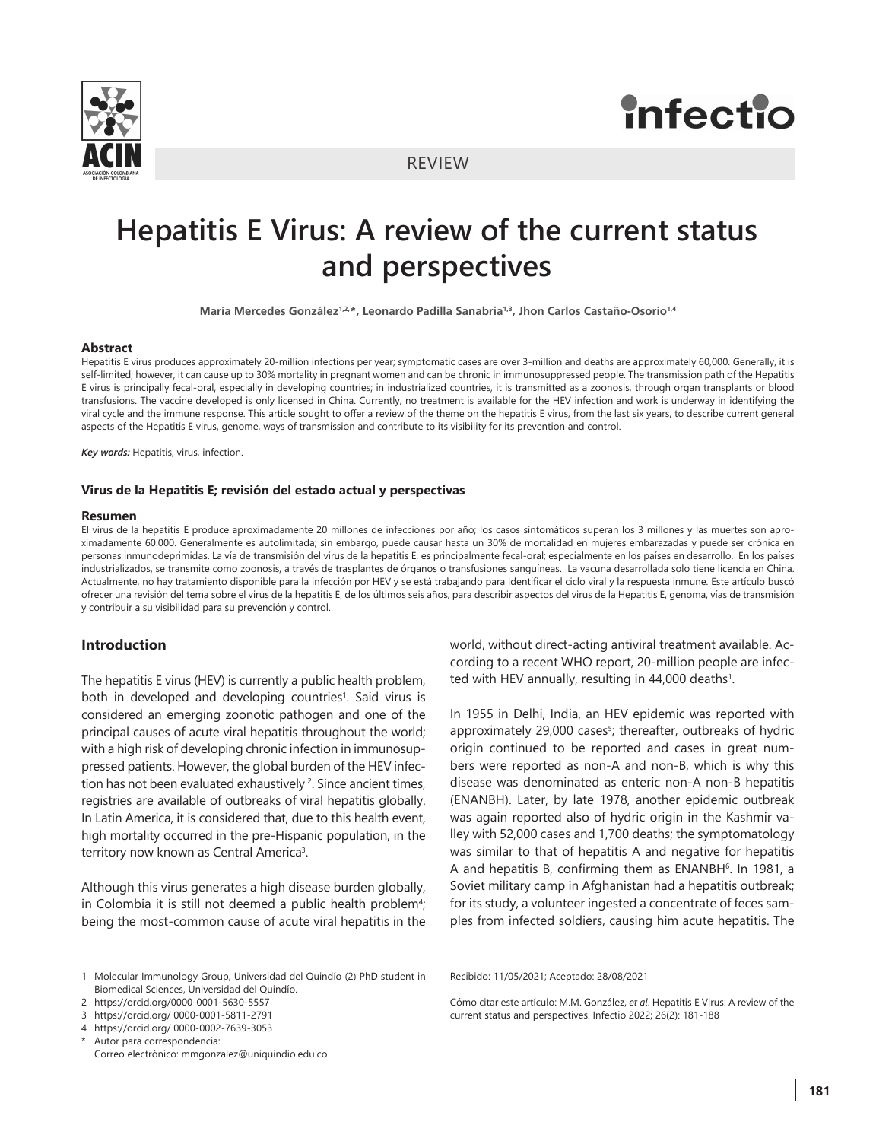

REVIEW

# **Hepatitis E Virus: A review of the current status and perspectives**

María Mercedes González<sup>1,2,\*</sup>, Leonardo Padilla Sanabria<sup>1,3</sup>, Jhon Carlos Castaño-Osorio<sup>1,4</sup>

## **Abstract**

Hepatitis E virus produces approximately 20-million infections per year; symptomatic cases are over 3-million and deaths are approximately 60,000. Generally, it is self-limited; however, it can cause up to 30% mortality in pregnant women and can be chronic in immunosuppressed people. The transmission path of the Hepatitis E virus is principally fecal-oral, especially in developing countries; in industrialized countries, it is transmitted as a zoonosis, through organ transplants or blood transfusions. The vaccine developed is only licensed in China. Currently, no treatment is available for the HEV infection and work is underway in identifying the viral cycle and the immune response. This article sought to offer a review of the theme on the hepatitis E virus, from the last six years, to describe current general aspects of the Hepatitis E virus, genome, ways of transmission and contribute to its visibility for its prevention and control.

*Key words:* Hepatitis, virus, infection.

## **Virus de la Hepatitis E; revisión del estado actual y perspectivas**

### **Resumen**

El virus de la hepatitis E produce aproximadamente 20 millones de infecciones por año; los casos sintomáticos superan los 3 millones y las muertes son aproximadamente 60.000. Generalmente es autolimitada; sin embargo, puede causar hasta un 30% de mortalidad en mujeres embarazadas y puede ser crónica en personas inmunodeprimidas. La vía de transmisión del virus de la hepatitis E, es principalmente fecal-oral; especialmente en los países en desarrollo. En los países industrializados, se transmite como zoonosis, a través de trasplantes de órganos o transfusiones sanguíneas. La vacuna desarrollada solo tiene licencia en China. Actualmente, no hay tratamiento disponible para la infección por HEV y se está trabajando para identificar el ciclo viral y la respuesta inmune. Este artículo buscó ofrecer una revisión del tema sobre el virus de la hepatitis E, de los últimos seis años, para describir aspectos del virus de la Hepatitis E, genoma, vías de transmisión y contribuir a su visibilidad para su prevención y control.

## **Introduction**

The hepatitis E virus (HEV) is currently a public health problem, both in developed and developing countries<sup>1</sup>. Said virus is considered an emerging zoonotic pathogen and one of the principal causes of acute viral hepatitis throughout the world; with a high risk of developing chronic infection in immunosuppressed patients. However, the global burden of the HEV infection has not been evaluated exhaustively <sup>2</sup>. Since ancient times, registries are available of outbreaks of viral hepatitis globally. In Latin America, it is considered that, due to this health event, high mortality occurred in the pre-Hispanic population, in the territory now known as Central America<sup>3</sup>.

Although this virus generates a high disease burden globally, in Colombia it is still not deemed a public health problem $4$ ; being the most-common cause of acute viral hepatitis in the

world, without direct-acting antiviral treatment available. According to a recent WHO report, 20-million people are infected with HEV annually, resulting in 44,000 deaths<sup>1</sup>.

In 1955 in Delhi, India, an HEV epidemic was reported with approximately 29,000 cases<sup>5</sup>; thereafter, outbreaks of hydric origin continued to be reported and cases in great numbers were reported as non-A and non-B, which is why this disease was denominated as enteric non-A non-B hepatitis (ENANBH). Later, by late 1978, another epidemic outbreak was again reported also of hydric origin in the Kashmir valley with 52,000 cases and 1,700 deaths; the symptomatology was similar to that of hepatitis A and negative for hepatitis A and hepatitis B, confirming them as ENANBH<sup>6</sup>. In 1981, a Soviet military camp in Afghanistan had a hepatitis outbreak; for its study, a volunteer ingested a concentrate of feces samples from infected soldiers, causing him acute hepatitis. The

Recibido: 11/05/2021; Aceptado: 28/08/2021

<sup>1</sup> Molecular Immunology Group, Universidad del Quindío (2) PhD student in Biomedical Sciences, Universidad del Quindío.

<sup>2</sup> https://orcid.org/0000-0001-5630-5557

<sup>3</sup> https://orcid.org/ 0000-0001-5811-2791

<sup>4</sup> https://orcid.org/ 0000-0002-7639-3053

Autor para correspondencia Correo electrónico: mmgonzalez@uniquindio.edu.co

Cómo citar este artículo: M.M. González, *et al*. Hepatitis E Virus: A review of the current status and perspectives. Infectio 2022; 26(2): 181-188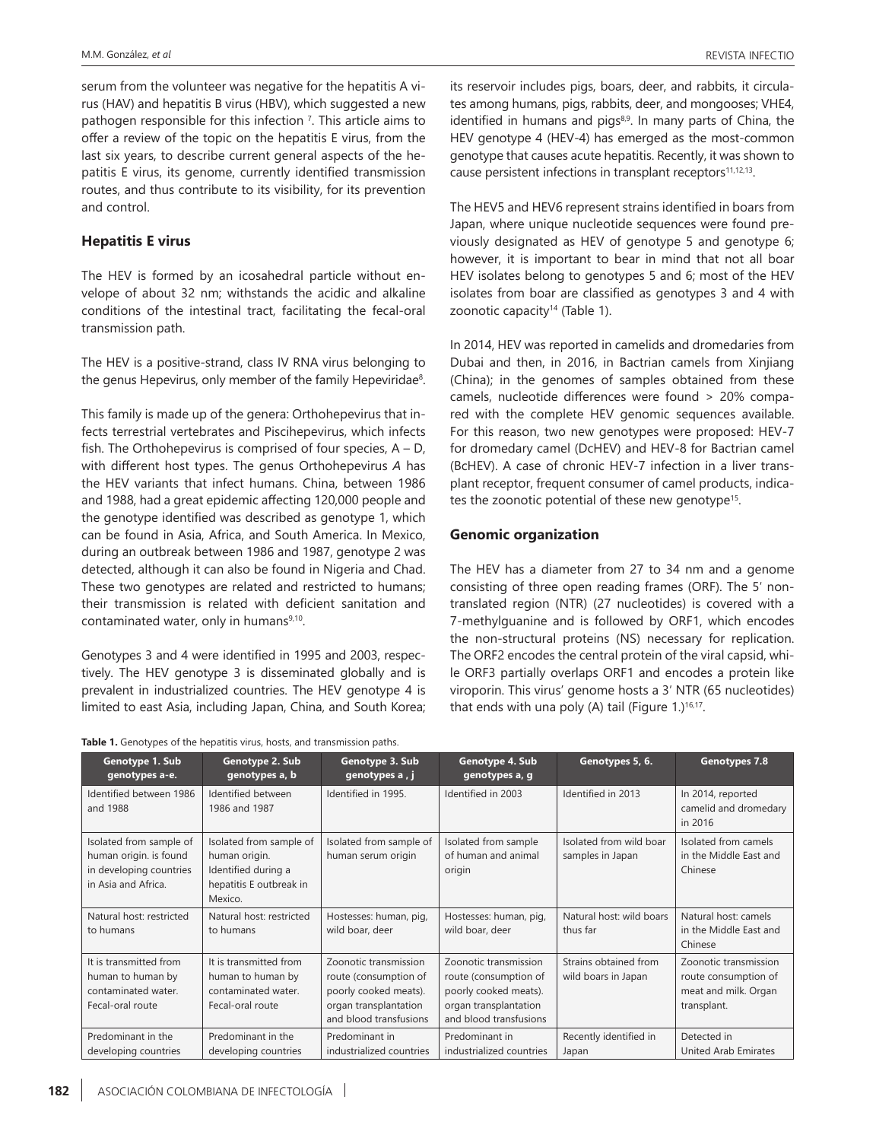REVISTA INFECTIO

serum from the volunteer was negative for the hepatitis A virus (HAV) and hepatitis B virus (HBV), which suggested a new pathogen responsible for this infection <sup>7</sup>. This article aims to offer a review of the topic on the hepatitis E virus, from the last six years, to describe current general aspects of the hepatitis E virus, its genome, currently identified transmission routes, and thus contribute to its visibility, for its prevention and control.

# **Hepatitis E virus**

The HEV is formed by an icosahedral particle without envelope of about 32 nm; withstands the acidic and alkaline conditions of the intestinal tract, facilitating the fecal-oral transmission path.

The HEV is a positive-strand, class IV RNA virus belonging to the genus Hepevirus, only member of the family Hepeviridae<sup>8</sup>.

This family is made up of the genera: Orthohepevirus that infects terrestrial vertebrates and Piscihepevirus, which infects fish. The Orthohepevirus is comprised of four species,  $A - D$ , with different host types. The genus Orthohepevirus *A* has the HEV variants that infect humans. China, between 1986 and 1988, had a great epidemic affecting 120,000 people and the genotype identified was described as genotype 1, which can be found in Asia, Africa, and South America. In Mexico, during an outbreak between 1986 and 1987, genotype 2 was detected, although it can also be found in Nigeria and Chad. These two genotypes are related and restricted to humans; their transmission is related with deficient sanitation and contaminated water, only in humans<sup>9,10</sup>.

Genotypes 3 and 4 were identified in 1995 and 2003, respectively. The HEV genotype 3 is disseminated globally and is prevalent in industrialized countries. The HEV genotype 4 is limited to east Asia, including Japan, China, and South Korea; its reservoir includes pigs, boars, deer, and rabbits, it circulates among humans, pigs, rabbits, deer, and mongooses; VHE4, identified in humans and pigs<sup>8,9</sup>. In many parts of China, the HEV genotype 4 (HEV-4) has emerged as the most-common genotype that causes acute hepatitis. Recently, it was shown to cause persistent infections in transplant receptors<sup>11,12,13</sup>.

The HEV5 and HEV6 represent strains identified in boars from Japan, where unique nucleotide sequences were found previously designated as HEV of genotype 5 and genotype 6; however, it is important to bear in mind that not all boar HEV isolates belong to genotypes 5 and 6; most of the HEV isolates from boar are classified as genotypes 3 and 4 with zoonotic capacity<sup>14</sup> (Table 1).

In 2014, HEV was reported in camelids and dromedaries from Dubai and then, in 2016, in Bactrian camels from Xinjiang (China); in the genomes of samples obtained from these camels, nucleotide differences were found > 20% compared with the complete HEV genomic sequences available. For this reason, two new genotypes were proposed: HEV-7 for dromedary camel (DcHEV) and HEV-8 for Bactrian camel (BcHEV). A case of chronic HEV-7 infection in a liver transplant receptor, frequent consumer of camel products, indicates the zoonotic potential of these new genotype<sup>15</sup>.

# **Genomic organization**

The HEV has a diameter from 27 to 34 nm and a genome consisting of three open reading frames (ORF). The 5′ nontranslated region (NTR) (27 nucleotides) is covered with a 7-methylguanine and is followed by ORF1, which encodes the non-structural proteins (NS) necessary for replication. The ORF2 encodes the central protein of the viral capsid, while ORF3 partially overlaps ORF1 and encodes a protein like viroporin. This virus' genome hosts a 3′ NTR (65 nucleotides) that ends with una poly (A) tail (Figure 1.) $16,17$ .

| Genotype 1. Sub          | Genotype 2. Sub          | Genotype 3. Sub          | Genotype 4. Sub          | Genotypes 5, 6.          | <b>Genotypes 7.8</b>   |  |  |  |  |  |
|--------------------------|--------------------------|--------------------------|--------------------------|--------------------------|------------------------|--|--|--|--|--|
| genotypes a-e.           | genotypes a, b           | genotypes a, j           | genotypes a, g           |                          |                        |  |  |  |  |  |
| Identified between 1986  | Identified between       | Identified in 1995.      | Identified in 2003       | Identified in 2013       | In 2014, reported      |  |  |  |  |  |
| and 1988                 | 1986 and 1987            |                          |                          |                          | camelid and dromedary  |  |  |  |  |  |
|                          |                          |                          |                          |                          | in 2016                |  |  |  |  |  |
| Isolated from sample of  | Isolated from sample of  | Isolated from sample of  | Isolated from sample     | Isolated from wild boar  | Isolated from camels   |  |  |  |  |  |
| human origin. is found   | human origin.            | human serum origin       | of human and animal      | samples in Japan         | in the Middle East and |  |  |  |  |  |
| in developing countries  | Identified during a      |                          | origin                   |                          | Chinese                |  |  |  |  |  |
| in Asia and Africa.      | hepatitis E outbreak in  |                          |                          |                          |                        |  |  |  |  |  |
|                          | Mexico.                  |                          |                          |                          |                        |  |  |  |  |  |
| Natural host: restricted | Natural host: restricted | Hostesses: human, pig,   | Hostesses: human, pig,   | Natural host: wild boars | Natural host: camels   |  |  |  |  |  |
| to humans                | to humans                | wild boar, deer          | wild boar, deer          | thus far                 | in the Middle East and |  |  |  |  |  |
|                          |                          |                          |                          |                          | Chinese                |  |  |  |  |  |
| It is transmitted from   | It is transmitted from   | Zoonotic transmission    | Zoonotic transmission    | Strains obtained from    | Zoonotic transmission  |  |  |  |  |  |
| human to human by        | human to human by        | route (consumption of    | route (consumption of    | wild boars in Japan      | route consumption of   |  |  |  |  |  |
| contaminated water.      | contaminated water.      | poorly cooked meats).    | poorly cooked meats).    |                          | meat and milk. Organ   |  |  |  |  |  |
| Fecal-oral route         | Fecal-oral route         | organ transplantation    | organ transplantation    |                          | transplant.            |  |  |  |  |  |
|                          |                          | and blood transfusions   | and blood transfusions   |                          |                        |  |  |  |  |  |
| Predominant in the       | Predominant in the       | Predominant in           | Predominant in           | Recently identified in   | Detected in            |  |  |  |  |  |
| developing countries     | developing countries     | industrialized countries | industrialized countries | Japan                    | United Arab Emirates   |  |  |  |  |  |

# **Table 1.** Genotypes of the hepatitis virus, hosts, and transmission paths.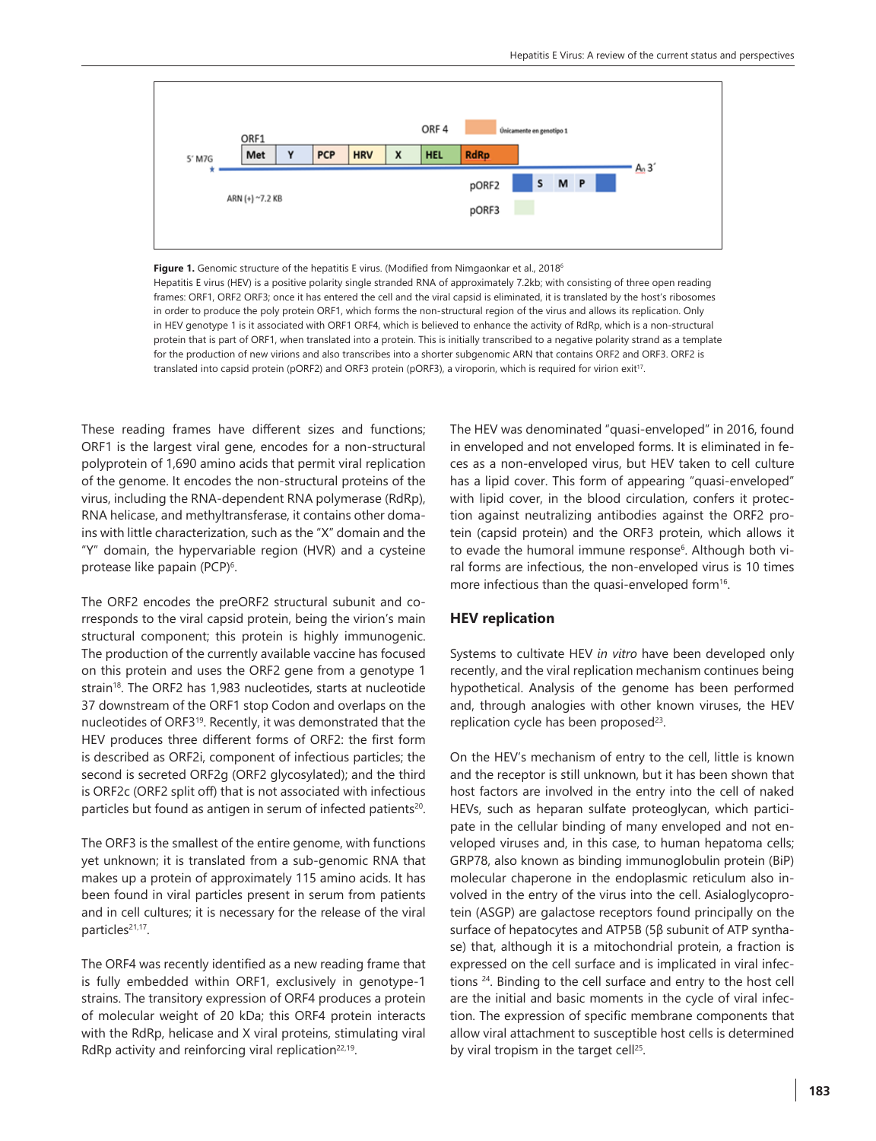

Figure 1. Genomic structure of the hepatitis E virus. (Modified from Nimgaonkar et al., 2018<sup>6</sup>

Hepatitis E virus (HEV) is a positive polarity single stranded RNA of approximately 7.2kb; with consisting of three open reading frames: ORF1, ORF2 ORF3; once it has entered the cell and the viral capsid is eliminated, it is translated by the host's ribosomes in order to produce the poly protein ORF1, which forms the non-structural region of the virus and allows its replication. Only in HEV genotype 1 is it associated with ORF1 ORF4, which is believed to enhance the activity of RdRp, which is a non-structural protein that is part of ORF1, when translated into a protein. This is initially transcribed to a negative polarity strand as a template for the production of new virions and also transcribes into a shorter subgenomic ARN that contains ORF2 and ORF3. ORF2 is translated into capsid protein (pORF2) and ORF3 protein (pORF3), a viroporin, which is required for virion exit<sup>17</sup>.

These reading frames have different sizes and functions; ORF1 is the largest viral gene, encodes for a non-structural polyprotein of 1,690 amino acids that permit viral replication of the genome. It encodes the non-structural proteins of the virus, including the RNA-dependent RNA polymerase (RdRp), RNA helicase, and methyltransferase, it contains other domains with little characterization, such as the "X" domain and the "Y" domain, the hypervariable region (HVR) and a cysteine protease like papain (PCP)<sup>6</sup>.

The ORF2 encodes the preORF2 structural subunit and corresponds to the viral capsid protein, being the virion's main structural component; this protein is highly immunogenic. The production of the currently available vaccine has focused on this protein and uses the ORF2 gene from a genotype 1 strain<sup>18</sup>. The ORF2 has 1,983 nucleotides, starts at nucleotide 37 downstream of the ORF1 stop Codon and overlaps on the nucleotides of ORF319. Recently, it was demonstrated that the HEV produces three different forms of ORF2: the first form is described as ORF2i, component of infectious particles; the second is secreted ORF2g (ORF2 glycosylated); and the third is ORF2c (ORF2 split off) that is not associated with infectious particles but found as antigen in serum of infected patients<sup>20</sup>.

The ORF3 is the smallest of the entire genome, with functions yet unknown; it is translated from a sub-genomic RNA that makes up a protein of approximately 115 amino acids. It has been found in viral particles present in serum from patients and in cell cultures; it is necessary for the release of the viral particles<sup>21,17</sup>.

The ORF4 was recently identified as a new reading frame that is fully embedded within ORF1, exclusively in genotype-1 strains. The transitory expression of ORF4 produces a protein of molecular weight of 20 kDa; this ORF4 protein interacts with the RdRp, helicase and X viral proteins, stimulating viral RdRp activity and reinforcing viral replication<sup>22,19</sup>.

The HEV was denominated "quasi-enveloped" in 2016, found in enveloped and not enveloped forms. It is eliminated in feces as a non-enveloped virus, but HEV taken to cell culture has a lipid cover. This form of appearing "quasi-enveloped" with lipid cover, in the blood circulation, confers it protection against neutralizing antibodies against the ORF2 protein (capsid protein) and the ORF3 protein, which allows it to evade the humoral immune response<sup>6</sup>. Although both viral forms are infectious, the non-enveloped virus is 10 times more infectious than the quasi-enveloped form<sup>16</sup>.

## **HEV replication**

Systems to cultivate HEV *in vitro* have been developed only recently, and the viral replication mechanism continues being hypothetical. Analysis of the genome has been performed and, through analogies with other known viruses, the HEV replication cycle has been proposed<sup>23</sup>.

On the HEV's mechanism of entry to the cell, little is known and the receptor is still unknown, but it has been shown that host factors are involved in the entry into the cell of naked HEVs, such as heparan sulfate proteoglycan, which participate in the cellular binding of many enveloped and not enveloped viruses and, in this case, to human hepatoma cells; GRP78, also known as binding immunoglobulin protein (BiP) molecular chaperone in the endoplasmic reticulum also involved in the entry of the virus into the cell. Asialoglycoprotein (ASGP) are galactose receptors found principally on the surface of hepatocytes and ATP5B (5β subunit of ATP synthase) that, although it is a mitochondrial protein, a fraction is expressed on the cell surface and is implicated in viral infections <sup>24</sup>. Binding to the cell surface and entry to the host cell are the initial and basic moments in the cycle of viral infection. The expression of specific membrane components that allow viral attachment to susceptible host cells is determined by viral tropism in the target cell<sup>25</sup>.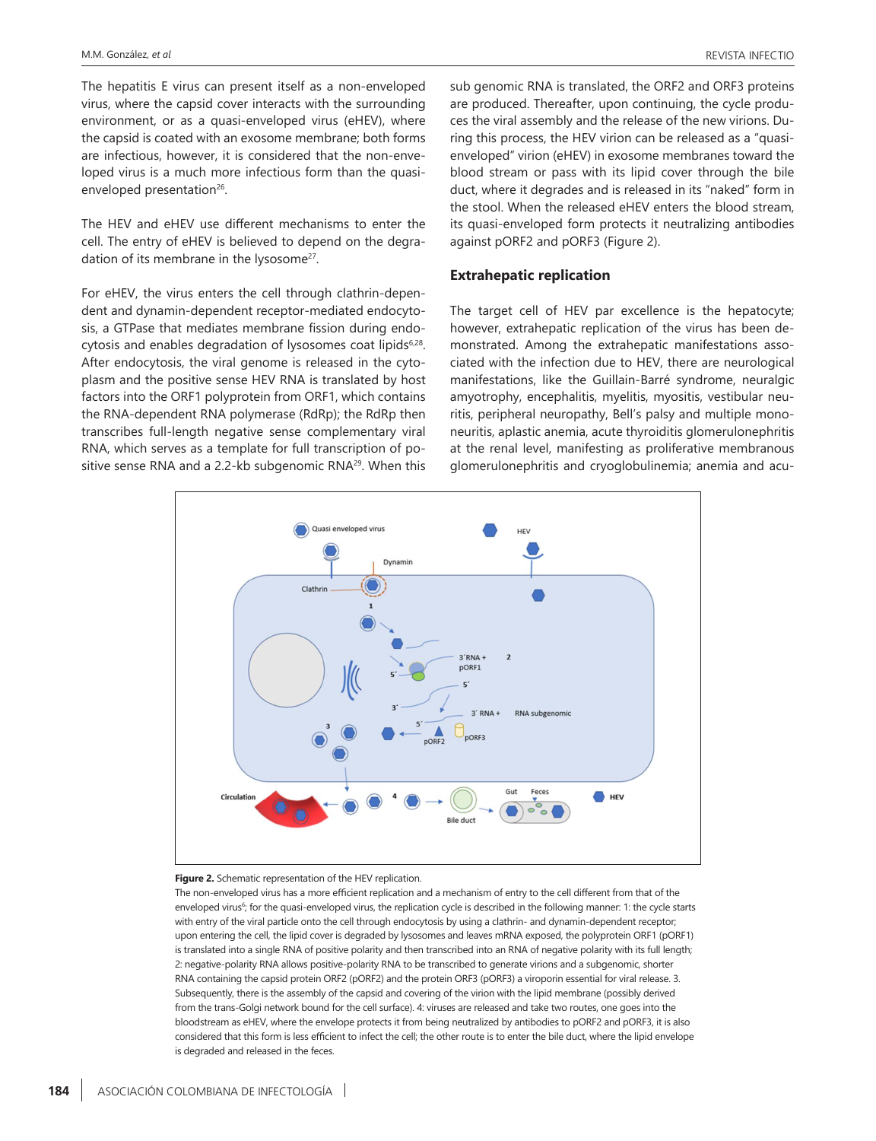The hepatitis E virus can present itself as a non-enveloped virus, where the capsid cover interacts with the surrounding environment, or as a quasi-enveloped virus (eHEV), where the capsid is coated with an exosome membrane; both forms are infectious, however, it is considered that the non-enveloped virus is a much more infectious form than the quasienveloped presentation<sup>26</sup>.

The HEV and eHEV use different mechanisms to enter the cell. The entry of eHEV is believed to depend on the degradation of its membrane in the lysosome<sup>27</sup>.

For eHEV, the virus enters the cell through clathrin-dependent and dynamin-dependent receptor-mediated endocytosis, a GTPase that mediates membrane fission during endocytosis and enables degradation of lysosomes coat lipids<sup>6,28</sup>. After endocytosis, the viral genome is released in the cytoplasm and the positive sense HEV RNA is translated by host factors into the ORF1 polyprotein from ORF1, which contains the RNA-dependent RNA polymerase (RdRp); the RdRp then transcribes full-length negative sense complementary viral RNA, which serves as a template for full transcription of positive sense RNA and a 2.2-kb subgenomic RNA<sup>29</sup>. When this sub genomic RNA is translated, the ORF2 and ORF3 proteins are produced. Thereafter, upon continuing, the cycle produces the viral assembly and the release of the new virions. During this process, the HEV virion can be released as a "quasienveloped" virion (eHEV) in exosome membranes toward the blood stream or pass with its lipid cover through the bile duct, where it degrades and is released in its "naked" form in the stool. When the released eHEV enters the blood stream, its quasi-enveloped form protects it neutralizing antibodies against pORF2 and pORF3 (Figure 2).

## **Extrahepatic replication**

The target cell of HEV par excellence is the hepatocyte; however, extrahepatic replication of the virus has been demonstrated. Among the extrahepatic manifestations associated with the infection due to HEV, there are neurological manifestations, like the Guillain-Barré syndrome, neuralgic amyotrophy, encephalitis, myelitis, myositis, vestibular neuritis, peripheral neuropathy, Bell's palsy and multiple mononeuritis, aplastic anemia, acute thyroiditis glomerulonephritis at the renal level, manifesting as proliferative membranous glomerulonephritis and cryoglobulinemia; anemia and acu-



#### **Figure 2.** Schematic representation of the HEV replication.

The non-enveloped virus has a more efficient replication and a mechanism of entry to the cell different from that of the enveloped virus<sup>6</sup>; for the quasi-enveloped virus, the replication cycle is described in the following manner: 1: the cycle starts with entry of the viral particle onto the cell through endocytosis by using a clathrin- and dynamin-dependent receptor; upon entering the cell, the lipid cover is degraded by lysosomes and leaves mRNA exposed, the polyprotein ORF1 (pORF1) is translated into a single RNA of positive polarity and then transcribed into an RNA of negative polarity with its full length; 2: negative-polarity RNA allows positive-polarity RNA to be transcribed to generate virions and a subgenomic, shorter RNA containing the capsid protein ORF2 (pORF2) and the protein ORF3 (pORF3) a viroporin essential for viral release. 3. Subsequently, there is the assembly of the capsid and covering of the virion with the lipid membrane (possibly derived from the trans-Golgi network bound for the cell surface). 4: viruses are released and take two routes, one goes into the bloodstream as eHEV, where the envelope protects it from being neutralized by antibodies to pORF2 and pORF3, it is also considered that this form is less efficient to infect the cell; the other route is to enter the bile duct, where the lipid envelope is degraded and released in the feces.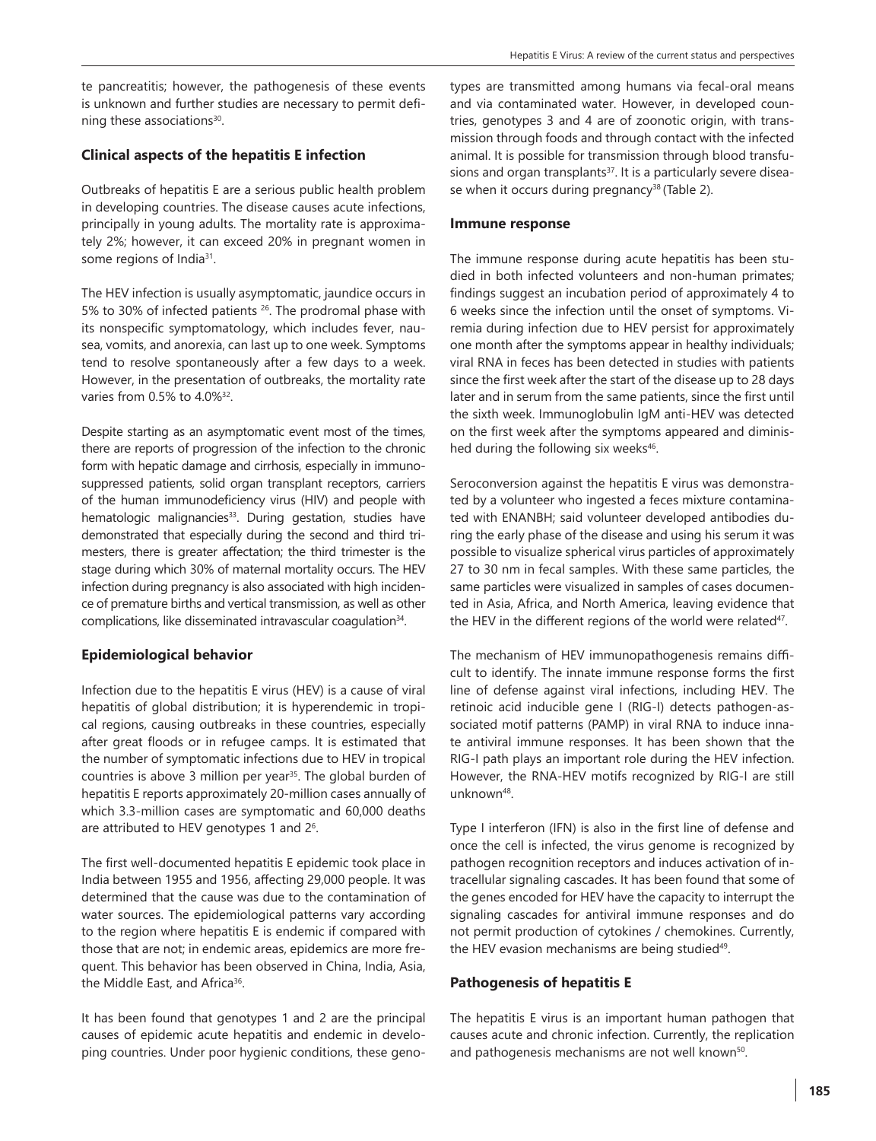te pancreatitis; however, the pathogenesis of these events is unknown and further studies are necessary to permit defining these associations<sup>30</sup>.

## **Clinical aspects of the hepatitis E infection**

Outbreaks of hepatitis E are a serious public health problem in developing countries. The disease causes acute infections, principally in young adults. The mortality rate is approximately 2%; however, it can exceed 20% in pregnant women in some regions of India<sup>31</sup>.

The HEV infection is usually asymptomatic, jaundice occurs in 5% to 30% of infected patients 26. The prodromal phase with its nonspecific symptomatology, which includes fever, nausea, vomits, and anorexia, can last up to one week. Symptoms tend to resolve spontaneously after a few days to a week. However, in the presentation of outbreaks, the mortality rate varies from 0.5% to 4.0%<sup>32</sup>.

Despite starting as an asymptomatic event most of the times, there are reports of progression of the infection to the chronic form with hepatic damage and cirrhosis, especially in immunosuppressed patients, solid organ transplant receptors, carriers of the human immunodeficiency virus (HIV) and people with hematologic malignancies<sup>33</sup>. During gestation, studies have demonstrated that especially during the second and third trimesters, there is greater affectation; the third trimester is the stage during which 30% of maternal mortality occurs. The HEV infection during pregnancy is also associated with high incidence of premature births and vertical transmission, as well as other complications, like disseminated intravascular coagulation<sup>34</sup>.

## **Epidemiological behavior**

Infection due to the hepatitis E virus (HEV) is a cause of viral hepatitis of global distribution; it is hyperendemic in tropical regions, causing outbreaks in these countries, especially after great floods or in refugee camps. It is estimated that the number of symptomatic infections due to HEV in tropical countries is above 3 million per year<sup>35</sup>. The global burden of hepatitis E reports approximately 20-million cases annually of which 3.3-million cases are symptomatic and 60,000 deaths are attributed to HEV genotypes 1 and 2<sup>6</sup>.

The first well-documented hepatitis E epidemic took place in India between 1955 and 1956, affecting 29,000 people. It was determined that the cause was due to the contamination of water sources. The epidemiological patterns vary according to the region where hepatitis E is endemic if compared with those that are not; in endemic areas, epidemics are more frequent. This behavior has been observed in China, India, Asia, the Middle East, and Africa<sup>36</sup>.

It has been found that genotypes 1 and 2 are the principal causes of epidemic acute hepatitis and endemic in developing countries. Under poor hygienic conditions, these genotypes are transmitted among humans via fecal-oral means and via contaminated water. However, in developed countries, genotypes 3 and 4 are of zoonotic origin, with transmission through foods and through contact with the infected animal. It is possible for transmission through blood transfusions and organ transplants<sup>37</sup>. It is a particularly severe disease when it occurs during pregnancy<sup>38</sup> (Table 2).

## **Immune response**

The immune response during acute hepatitis has been studied in both infected volunteers and non-human primates; findings suggest an incubation period of approximately 4 to 6 weeks since the infection until the onset of symptoms. Viremia during infection due to HEV persist for approximately one month after the symptoms appear in healthy individuals; viral RNA in feces has been detected in studies with patients since the first week after the start of the disease up to 28 days later and in serum from the same patients, since the first until the sixth week. Immunoglobulin IgM anti-HEV was detected on the first week after the symptoms appeared and diminished during the following six weeks<sup>46</sup>.

Seroconversion against the hepatitis E virus was demonstrated by a volunteer who ingested a feces mixture contaminated with ENANBH; said volunteer developed antibodies during the early phase of the disease and using his serum it was possible to visualize spherical virus particles of approximately 27 to 30 nm in fecal samples. With these same particles, the same particles were visualized in samples of cases documented in Asia, Africa, and North America, leaving evidence that the HEV in the different regions of the world were related<sup>47</sup>.

The mechanism of HEV immunopathogenesis remains difficult to identify. The innate immune response forms the first line of defense against viral infections, including HEV. The retinoic acid inducible gene I (RIG-I) detects pathogen-associated motif patterns (PAMP) in viral RNA to induce innate antiviral immune responses. It has been shown that the RIG-I path plays an important role during the HEV infection. However, the RNA-HEV motifs recognized by RIG-I are still unknown<sup>48</sup>.

Type I interferon (IFN) is also in the first line of defense and once the cell is infected, the virus genome is recognized by pathogen recognition receptors and induces activation of intracellular signaling cascades. It has been found that some of the genes encoded for HEV have the capacity to interrupt the signaling cascades for antiviral immune responses and do not permit production of cytokines / chemokines. Currently, the HEV evasion mechanisms are being studied<sup>49</sup>.

## **Pathogenesis of hepatitis E**

The hepatitis E virus is an important human pathogen that causes acute and chronic infection. Currently, the replication and pathogenesis mechanisms are not well known<sup>50</sup>.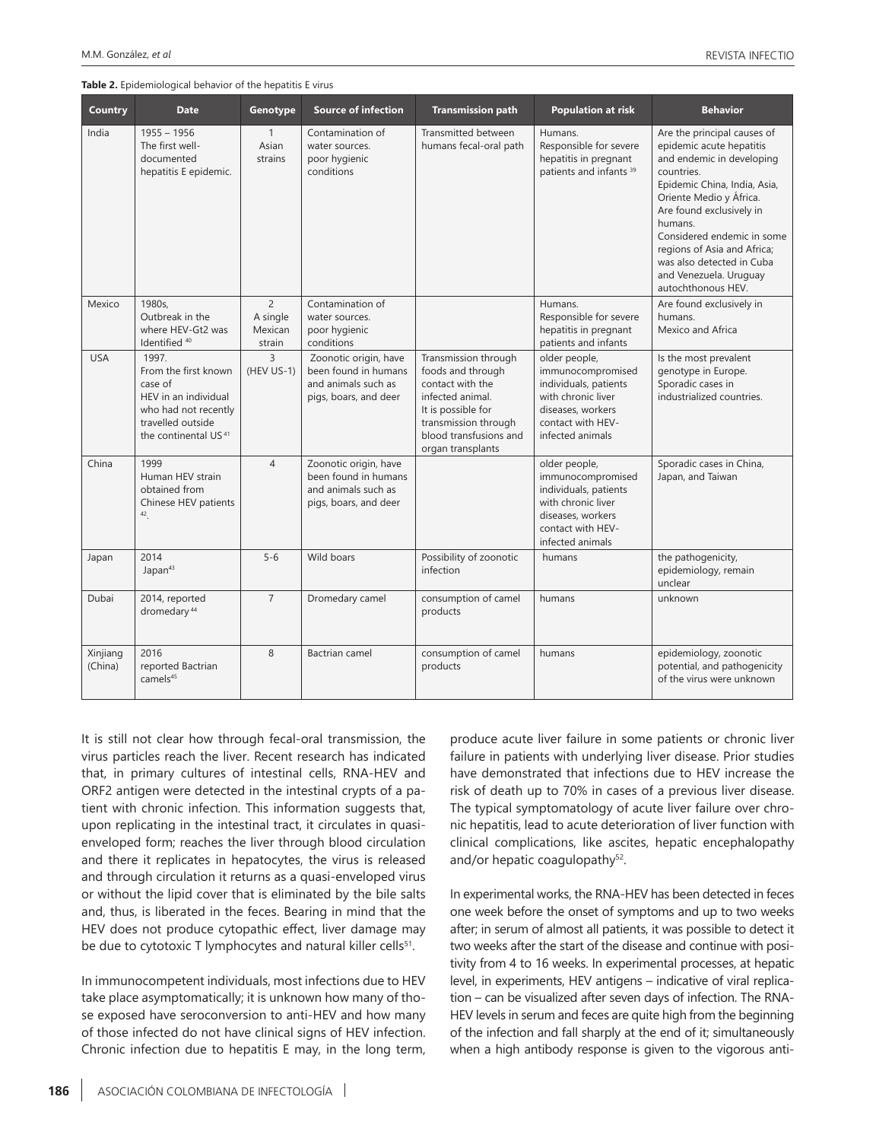**Table 2.** Epidemiological behavior of the hepatitis E virus

| Country             | <b>Date</b>                                                                                                                                       | Genotype                                        | <b>Source of infection</b>                                                                    | <b>Transmission path</b>                                                                                                                                                       | <b>Population at risk</b>                                                                                                                       | <b>Behavior</b>                                                                                                                                                                                                                                                                                                                                |
|---------------------|---------------------------------------------------------------------------------------------------------------------------------------------------|-------------------------------------------------|-----------------------------------------------------------------------------------------------|--------------------------------------------------------------------------------------------------------------------------------------------------------------------------------|-------------------------------------------------------------------------------------------------------------------------------------------------|------------------------------------------------------------------------------------------------------------------------------------------------------------------------------------------------------------------------------------------------------------------------------------------------------------------------------------------------|
| India               | $1955 - 1956$<br>The first well-<br>documented<br>hepatitis E epidemic.                                                                           | 1<br>Asian<br>strains                           | Contamination of<br>water sources.<br>poor hygienic<br>conditions                             | Transmitted between<br>humans fecal-oral path                                                                                                                                  | Humans.<br>Responsible for severe<br>hepatitis in pregnant<br>patients and infants <sup>39</sup>                                                | Are the principal causes of<br>epidemic acute hepatitis<br>and endemic in developing<br>countries.<br>Epidemic China, India, Asia,<br>Oriente Medio y África.<br>Are found exclusively in<br>humans.<br>Considered endemic in some<br>regions of Asia and Africa;<br>was also detected in Cuba<br>and Venezuela. Uruguay<br>autochthonous HEV. |
| Mexico              | 1980s,<br>Outbreak in the<br>where HEV-Gt2 was<br>Identified <sup>40</sup>                                                                        | $\overline{2}$<br>A single<br>Mexican<br>strain | Contamination of<br>water sources.<br>poor hygienic<br>conditions                             |                                                                                                                                                                                | Humans.<br>Responsible for severe<br>hepatitis in pregnant<br>patients and infants                                                              | Are found exclusively in<br>humans.<br>Mexico and Africa                                                                                                                                                                                                                                                                                       |
| <b>USA</b>          | 1997.<br>From the first known<br>case of<br>HEV in an individual<br>who had not recently<br>travelled outside<br>the continental US <sup>41</sup> | $\overline{3}$<br>(HEV US-1)                    | Zoonotic origin, have<br>been found in humans<br>and animals such as<br>pigs, boars, and deer | Transmission through<br>foods and through<br>contact with the<br>infected animal.<br>It is possible for<br>transmission through<br>blood transfusions and<br>organ transplants | older people,<br>immunocompromised<br>individuals, patients<br>with chronic liver<br>diseases, workers<br>contact with HEV-<br>infected animals | Is the most prevalent<br>genotype in Europe.<br>Sporadic cases in<br>industrialized countries.                                                                                                                                                                                                                                                 |
| China               | 1999<br>Human HEV strain<br>obtained from<br>Chinese HEV patients<br>42                                                                           | $\overline{4}$                                  | Zoonotic origin, have<br>been found in humans<br>and animals such as<br>pigs, boars, and deer |                                                                                                                                                                                | older people,<br>immunocompromised<br>individuals, patients<br>with chronic liver<br>diseases, workers<br>contact with HEV-<br>infected animals | Sporadic cases in China,<br>Japan, and Taiwan                                                                                                                                                                                                                                                                                                  |
| Japan               | 2014<br>Japan <sup>43</sup>                                                                                                                       | $5 - 6$                                         | Wild boars                                                                                    | Possibility of zoonotic<br>infection                                                                                                                                           | humans                                                                                                                                          | the pathogenicity,<br>epidemiology, remain<br>unclear                                                                                                                                                                                                                                                                                          |
| Dubai               | 2014, reported<br>dromedary <sup>44</sup>                                                                                                         | $\overline{7}$                                  | Dromedary camel                                                                               | consumption of camel<br>products                                                                                                                                               | humans                                                                                                                                          | unknown                                                                                                                                                                                                                                                                                                                                        |
| Xinjiang<br>(China) | 2016<br>reported Bactrian<br>camels <sup>45</sup>                                                                                                 | 8                                               | <b>Bactrian camel</b>                                                                         | consumption of camel<br>products                                                                                                                                               | humans                                                                                                                                          | epidemiology, zoonotic<br>potential, and pathogenicity<br>of the virus were unknown                                                                                                                                                                                                                                                            |

It is still not clear how through fecal-oral transmission, the virus particles reach the liver. Recent research has indicated that, in primary cultures of intestinal cells, RNA-HEV and ORF2 antigen were detected in the intestinal crypts of a patient with chronic infection. This information suggests that, upon replicating in the intestinal tract, it circulates in quasienveloped form; reaches the liver through blood circulation and there it replicates in hepatocytes, the virus is released and through circulation it returns as a quasi-enveloped virus or without the lipid cover that is eliminated by the bile salts and, thus, is liberated in the feces. Bearing in mind that the HEV does not produce cytopathic effect, liver damage may be due to cytotoxic T lymphocytes and natural killer cells<sup>51</sup>.

In immunocompetent individuals, most infections due to HEV take place asymptomatically; it is unknown how many of those exposed have seroconversion to anti-HEV and how many of those infected do not have clinical signs of HEV infection. Chronic infection due to hepatitis E may, in the long term,

produce acute liver failure in some patients or chronic liver failure in patients with underlying liver disease. Prior studies have demonstrated that infections due to HEV increase the risk of death up to 70% in cases of a previous liver disease. The typical symptomatology of acute liver failure over chronic hepatitis, lead to acute deterioration of liver function with clinical complications, like ascites, hepatic encephalopathy and/or hepatic coagulopathy<sup>52</sup>.

In experimental works, the RNA-HEV has been detected in feces one week before the onset of symptoms and up to two weeks after; in serum of almost all patients, it was possible to detect it two weeks after the start of the disease and continue with positivity from 4 to 16 weeks. In experimental processes, at hepatic level, in experiments, HEV antigens – indicative of viral replication – can be visualized after seven days of infection. The RNA-HEV levels in serum and feces are quite high from the beginning of the infection and fall sharply at the end of it; simultaneously when a high antibody response is given to the vigorous anti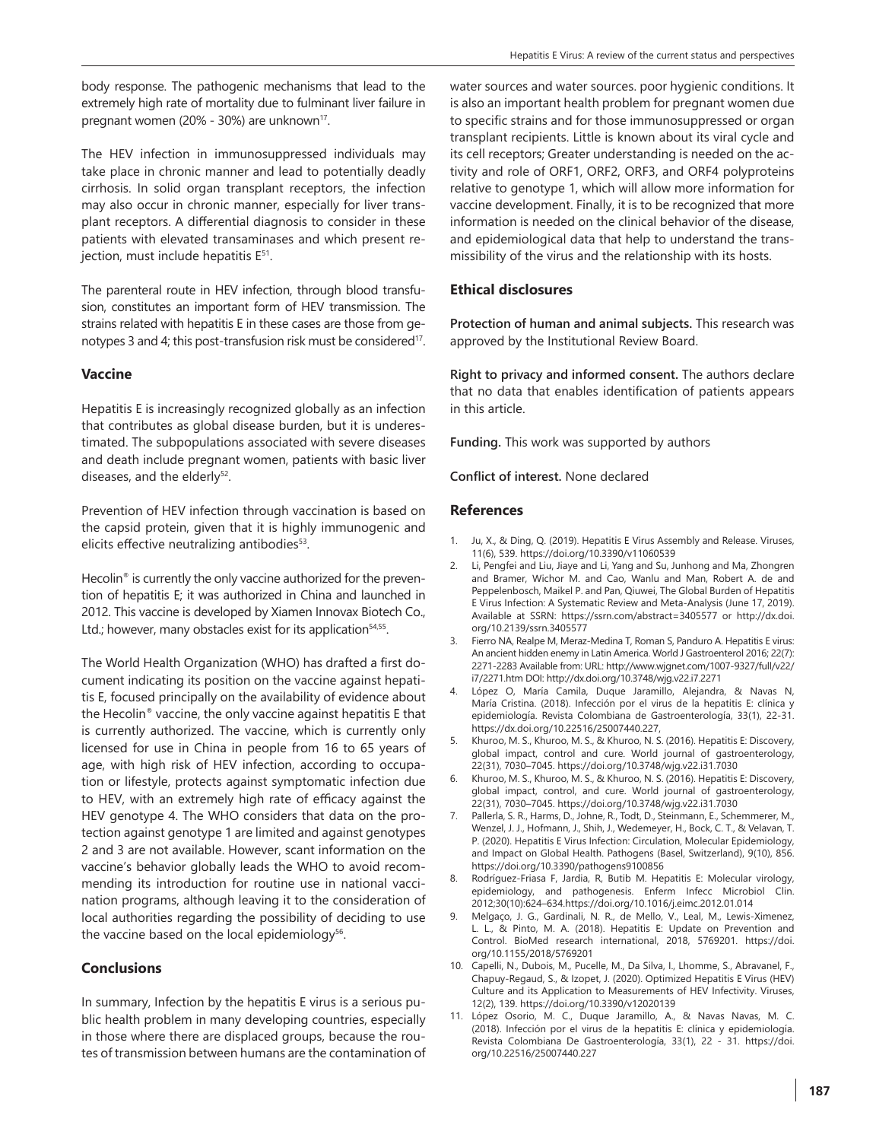body response. The pathogenic mechanisms that lead to the extremely high rate of mortality due to fulminant liver failure in pregnant women (20% - 30%) are unknown<sup>17</sup>.

The HEV infection in immunosuppressed individuals may take place in chronic manner and lead to potentially deadly cirrhosis. In solid organ transplant receptors, the infection may also occur in chronic manner, especially for liver transplant receptors. A differential diagnosis to consider in these patients with elevated transaminases and which present rejection, must include hepatitis E<sup>51</sup>.

The parenteral route in HEV infection, through blood transfusion, constitutes an important form of HEV transmission. The strains related with hepatitis E in these cases are those from genotypes 3 and 4; this post-transfusion risk must be considered<sup>17</sup>.

## **Vaccine**

Hepatitis E is increasingly recognized globally as an infection that contributes as global disease burden, but it is underestimated. The subpopulations associated with severe diseases and death include pregnant women, patients with basic liver diseases, and the elderly<sup>52</sup>.

Prevention of HEV infection through vaccination is based on the capsid protein, given that it is highly immunogenic and elicits effective neutralizing antibodies<sup>53</sup>.

Hecolin<sup>®</sup> is currently the only vaccine authorized for the prevention of hepatitis E; it was authorized in China and launched in 2012. This vaccine is developed by Xiamen Innovax Biotech Co., Ltd.; however, many obstacles exist for its application<sup>54,55</sup>.

The World Health Organization (WHO) has drafted a first document indicating its position on the vaccine against hepatitis E, focused principally on the availability of evidence about the Hecolin® vaccine, the only vaccine against hepatitis E that is currently authorized. The vaccine, which is currently only licensed for use in China in people from 16 to 65 years of age, with high risk of HEV infection, according to occupation or lifestyle, protects against symptomatic infection due to HEV, with an extremely high rate of efficacy against the HEV genotype 4. The WHO considers that data on the protection against genotype 1 are limited and against genotypes 2 and 3 are not available. However, scant information on the vaccine's behavior globally leads the WHO to avoid recommending its introduction for routine use in national vaccination programs, although leaving it to the consideration of local authorities regarding the possibility of deciding to use the vaccine based on the local epidemiology<sup>56</sup>.

## **Conclusions**

In summary, Infection by the hepatitis E virus is a serious public health problem in many developing countries, especially in those where there are displaced groups, because the routes of transmission between humans are the contamination of water sources and water sources. poor hygienic conditions. It is also an important health problem for pregnant women due to specific strains and for those immunosuppressed or organ transplant recipients. Little is known about its viral cycle and its cell receptors; Greater understanding is needed on the activity and role of ORF1, ORF2, ORF3, and ORF4 polyproteins relative to genotype 1, which will allow more information for vaccine development. Finally, it is to be recognized that more information is needed on the clinical behavior of the disease, and epidemiological data that help to understand the transmissibility of the virus and the relationship with its hosts.

## **Ethical disclosures**

**Protection of human and animal subjects.** This research was approved by the Institutional Review Board.

**Right to privacy and informed consent.** The authors declare that no data that enables identification of patients appears in this article.

**Funding.** This work was supported by authors

**Conflict of interest.** None declared

## **References**

- 1. Ju, X., & Ding, Q. (2019). Hepatitis E Virus Assembly and Release. Viruses, 11(6), 539. https://doi.org/10.3390/v11060539
- 2. Li, Pengfei and Liu, Jiaye and Li, Yang and Su, Junhong and Ma, Zhongren and Bramer, Wichor M. and Cao, Wanlu and Man, Robert A. de and Peppelenbosch, Maikel P. and Pan, Qiuwei, The Global Burden of Hepatitis E Virus Infection: A Systematic Review and Meta-Analysis (June 17, 2019). Available at SSRN: https://ssrn.com/abstract=3405577 or http://dx.doi. org/10.2139/ssrn.3405577
- 3. Fierro NA, Realpe M, Meraz-Medina T, Roman S, Panduro A. Hepatitis E virus: An ancient hidden enemy in Latin America. World J Gastroenterol 2016; 22(7): 2271-2283 Available from: URL: http://www.wjgnet.com/1007-9327/full/v22/ i7/2271.htm DOI: http://dx.doi.org/10.3748/wjg.v22.i7.2271
- 4. López O, María Camila, Duque Jaramillo, Alejandra, & Navas N, María Cristina. (2018). Infección por el virus de la hepatitis E: clínica y epidemiología. Revista Colombiana de Gastroenterología, 33(1), 22-31. https://dx.doi.org/10.22516/25007440.227,
- 5. Khuroo, M. S., Khuroo, M. S., & Khuroo, N. S. (2016). Hepatitis E: Discovery, global impact, control and cure. World journal of gastroenterology, 22(31), 7030–7045. https://doi.org/10.3748/wjg.v22.i31.7030
- 6. Khuroo, M. S., Khuroo, M. S., & Khuroo, N. S. (2016). Hepatitis E: Discovery, global impact, control, and cure. World journal of gastroenterology, 22(31), 7030–7045. https://doi.org/10.3748/wjg.v22.i31.7030
- 7. Pallerla, S. R., Harms, D., Johne, R., Todt, D., Steinmann, E., Schemmerer, M., Wenzel, J. J., Hofmann, J., Shih, J., Wedemeyer, H., Bock, C. T., & Velavan, T. P. (2020). Hepatitis E Virus Infection: Circulation, Molecular Epidemiology, and Impact on Global Health. Pathogens (Basel, Switzerland), 9(10), 856. https://doi.org/10.3390/pathogens9100856
- 8. Rodríguez-Friasa F, Jardia, R, Butib M. Hepatitis E: Molecular virology, epidemiology, and pathogenesis. Enferm Infecc Microbiol Clin. 2012;30(10):624–634.https://doi.org/10.1016/j.eimc.2012.01.014
- Melgaço, J. G., Gardinali, N. R., de Mello, V., Leal, M., Lewis-Ximenez, L. L., & Pinto, M. A. (2018). Hepatitis E: Update on Prevention and Control. BioMed research international, 2018, 5769201. https://doi. org/10.1155/2018/5769201
- 10. Capelli, N., Dubois, M., Pucelle, M., Da Silva, I., Lhomme, S., Abravanel, F., Chapuy-Regaud, S., & Izopet, J. (2020). Optimized Hepatitis E Virus (HEV) Culture and its Application to Measurements of HEV Infectivity. Viruses, 12(2), 139. https://doi.org/10.3390/v12020139
- 11. López Osorio, M. C., Duque Jaramillo, A., & Navas Navas, M. C. (2018). Infección por el virus de la hepatitis E: clínica y epidemiología. Revista Colombiana De Gastroenterología, 33(1), 22 - 31. https://doi. org/10.22516/25007440.227